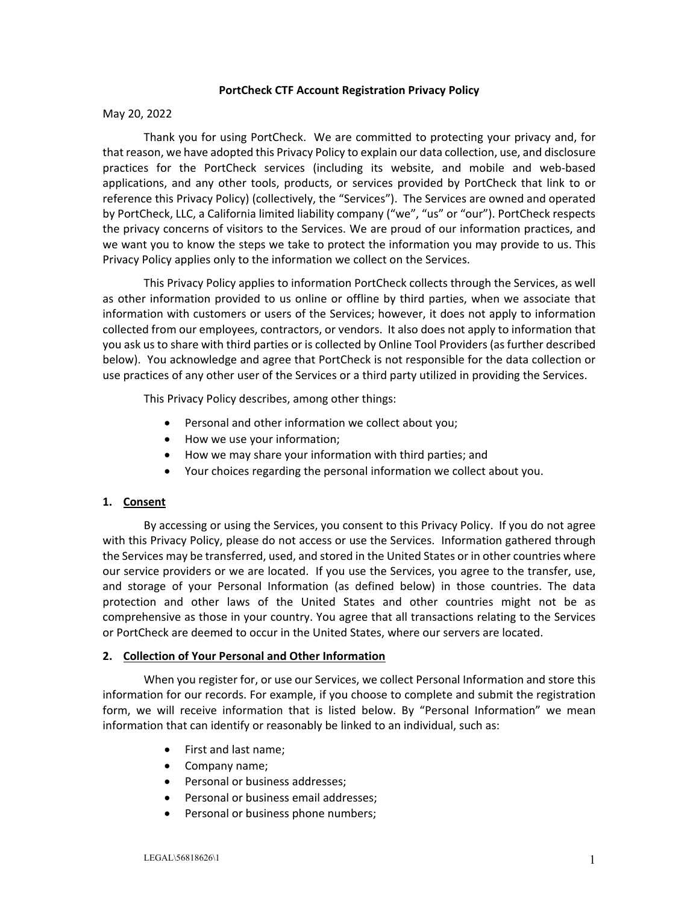### **PortCheck CTF Account Registration Privacy Policy**

### May 20, 2022

Thank you for using PortCheck. We are committed to protecting your privacy and, for that reason, we have adopted this Privacy Policy to explain our data collection, use, and disclosure practices for the PortCheck services (including its website, and mobile and web‐based applications, and any other tools, products, or services provided by PortCheck that link to or reference this Privacy Policy) (collectively, the "Services"). The Services are owned and operated by PortCheck, LLC, a California limited liability company ("we", "us" or "our"). PortCheck respects the privacy concerns of visitors to the Services. We are proud of our information practices, and we want you to know the steps we take to protect the information you may provide to us. This Privacy Policy applies only to the information we collect on the Services.

This Privacy Policy applies to information PortCheck collects through the Services, as well as other information provided to us online or offline by third parties, when we associate that information with customers or users of the Services; however, it does not apply to information collected from our employees, contractors, or vendors. It also does not apply to information that you ask us to share with third parties or is collected by Online Tool Providers (as further described below). You acknowledge and agree that PortCheck is not responsible for the data collection or use practices of any other user of the Services or a third party utilized in providing the Services.

This Privacy Policy describes, among other things:

- Personal and other information we collect about you;
- How we use your information;
- How we may share your information with third parties; and
- Your choices regarding the personal information we collect about you.

# **1. Consent**

By accessing or using the Services, you consent to this Privacy Policy. If you do not agree with this Privacy Policy, please do not access or use the Services. Information gathered through the Services may be transferred, used, and stored in the United States or in other countries where our service providers or we are located. If you use the Services, you agree to the transfer, use, and storage of your Personal Information (as defined below) in those countries. The data protection and other laws of the United States and other countries might not be as comprehensive as those in your country. You agree that all transactions relating to the Services or PortCheck are deemed to occur in the United States, where our servers are located.

# **2. Collection of Your Personal and Other Information**

When you register for, or use our Services, we collect Personal Information and store this information for our records. For example, if you choose to complete and submit the registration form, we will receive information that is listed below. By "Personal Information" we mean information that can identify or reasonably be linked to an individual, such as:

- First and last name;
- Company name;
- Personal or business addresses;
- Personal or business email addresses;
- Personal or business phone numbers;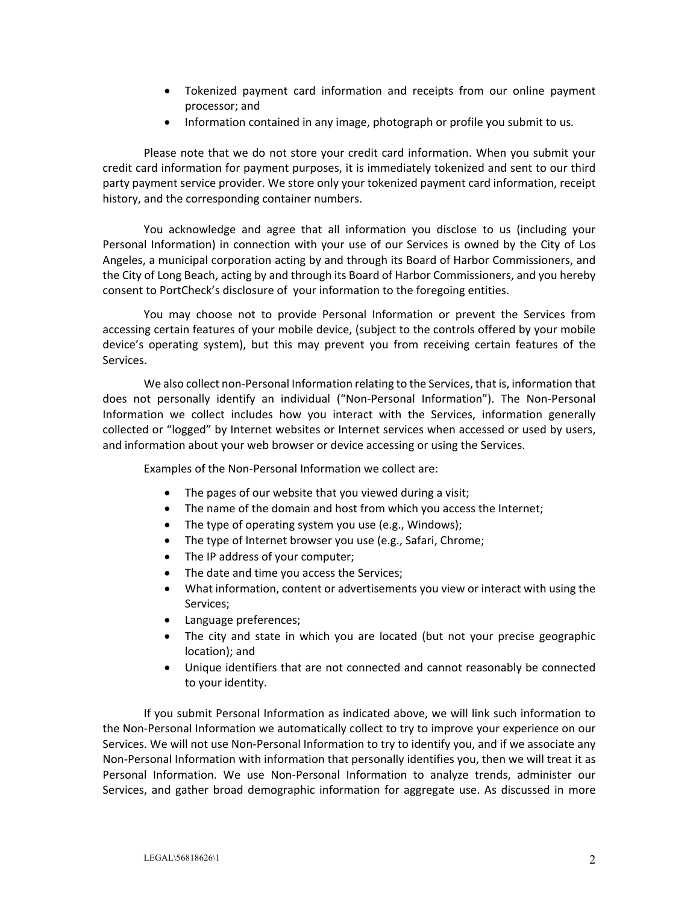- Tokenized payment card information and receipts from our online payment processor; and
- Information contained in any image, photograph or profile you submit to us*.*

Please note that we do not store your credit card information. When you submit your credit card information for payment purposes, it is immediately tokenized and sent to our third party payment service provider. We store only your tokenized payment card information, receipt history, and the corresponding container numbers.

You acknowledge and agree that all information you disclose to us (including your Personal Information) in connection with your use of our Services is owned by the City of Los Angeles, a municipal corporation acting by and through its Board of Harbor Commissioners, and the City of Long Beach, acting by and through its Board of Harbor Commissioners, and you hereby consent to PortCheck's disclosure of your information to the foregoing entities.

You may choose not to provide Personal Information or prevent the Services from accessing certain features of your mobile device, (subject to the controls offered by your mobile device's operating system), but this may prevent you from receiving certain features of the Services.

We also collect non-Personal Information relating to the Services, that is, information that does not personally identify an individual ("Non‐Personal Information"). The Non‐Personal Information we collect includes how you interact with the Services, information generally collected or "logged" by Internet websites or Internet services when accessed or used by users, and information about your web browser or device accessing or using the Services.

Examples of the Non‐Personal Information we collect are:

- The pages of our website that you viewed during a visit;
- The name of the domain and host from which you access the Internet;
- The type of operating system you use (e.g., Windows);
- The type of Internet browser you use (e.g., Safari, Chrome;
- The IP address of your computer;
- The date and time you access the Services;
- What information, content or advertisements you view or interact with using the Services;
- Language preferences;
- The city and state in which you are located (but not your precise geographic location); and
- Unique identifiers that are not connected and cannot reasonably be connected to your identity.

If you submit Personal Information as indicated above, we will link such information to the Non‐Personal Information we automatically collect to try to improve your experience on our Services. We will not use Non‐Personal Information to try to identify you, and if we associate any Non‐Personal Information with information that personally identifies you, then we will treat it as Personal Information. We use Non-Personal Information to analyze trends, administer our Services, and gather broad demographic information for aggregate use. As discussed in more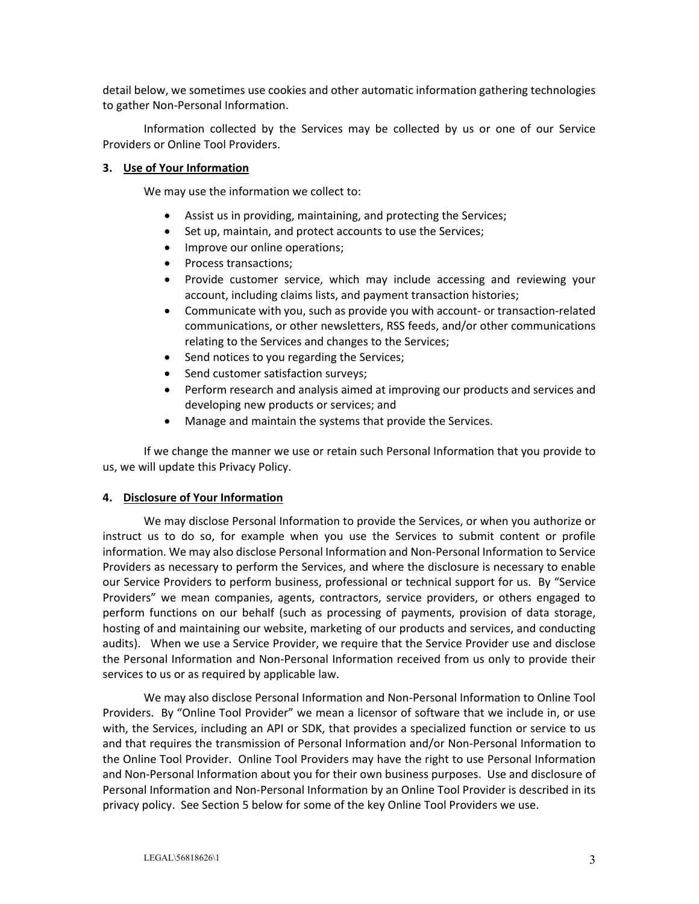detail below, we sometimes use cookies and other automatic information gathering technologies to gather Non‐Personal Information.

Information collected by the Services may be collected by us or one of our Service Providers or Online Tool Providers.

### **3. Use of Your Information**

We may use the information we collect to:

- Assist us in providing, maintaining, and protecting the Services;
- Set up, maintain, and protect accounts to use the Services;
- Improve our online operations;
- Process transactions;
- Provide customer service, which may include accessing and reviewing your account, including claims lists, and payment transaction histories;
- Communicate with you, such as provide you with account‐ or transaction‐related communications, or other newsletters, RSS feeds, and/or other communications relating to the Services and changes to the Services;
- Send notices to you regarding the Services;
- Send customer satisfaction surveys;
- Perform research and analysis aimed at improving our products and services and developing new products or services; and
- Manage and maintain the systems that provide the Services.

If we change the manner we use or retain such Personal Information that you provide to us, we will update this Privacy Policy.

### **4. Disclosure of Your Information**

We may disclose Personal Information to provide the Services, or when you authorize or instruct us to do so, for example when you use the Services to submit content or profile information. We may also disclose Personal Information and Non‐Personal Information to Service Providers as necessary to perform the Services, and where the disclosure is necessary to enable our Service Providers to perform business, professional or technical support for us. By "Service Providers" we mean companies, agents, contractors, service providers, or others engaged to perform functions on our behalf (such as processing of payments, provision of data storage, hosting of and maintaining our website, marketing of our products and services, and conducting audits). When we use a Service Provider, we require that the Service Provider use and disclose the Personal Information and Non‐Personal Information received from us only to provide their services to us or as required by applicable law.

We may also disclose Personal Information and Non‐Personal Information to Online Tool Providers. By "Online Tool Provider" we mean a licensor of software that we include in, or use with, the Services, including an API or SDK, that provides a specialized function or service to us and that requires the transmission of Personal Information and/or Non‐Personal Information to the Online Tool Provider. Online Tool Providers may have the right to use Personal Information and Non‐Personal Information about you for their own business purposes. Use and disclosure of Personal Information and Non‐Personal Information by an Online Tool Provider is described in its privacy policy. See Section 5 below for some of the key Online Tool Providers we use.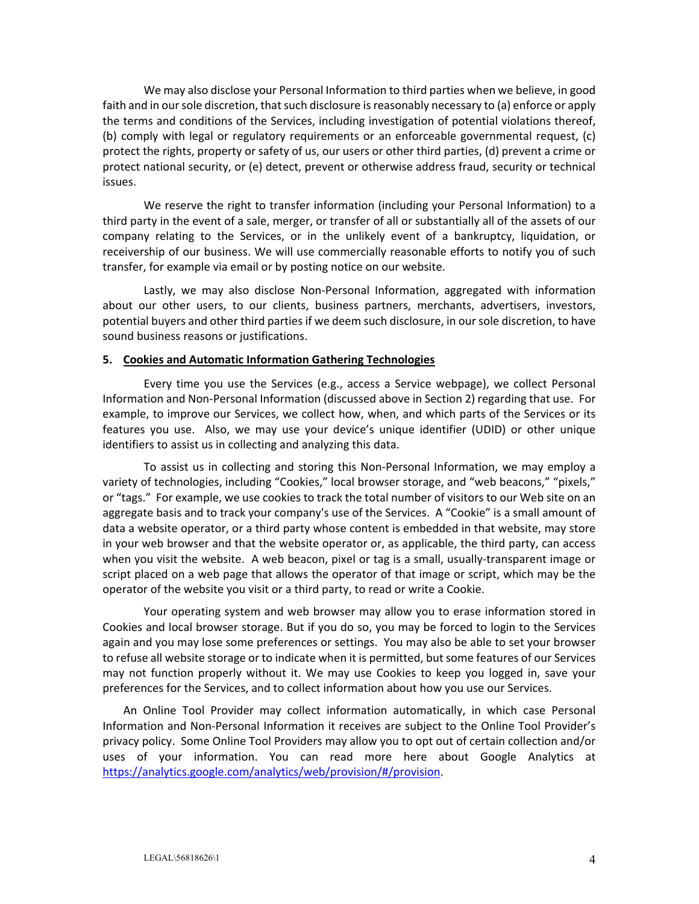We may also disclose your Personal Information to third parties when we believe, in good faith and in our sole discretion, that such disclosure is reasonably necessary to (a) enforce or apply the terms and conditions of the Services, including investigation of potential violations thereof, (b) comply with legal or regulatory requirements or an enforceable governmental request, (c) protect the rights, property or safety of us, our users or other third parties, (d) prevent a crime or protect national security, or (e) detect, prevent or otherwise address fraud, security or technical issues.

We reserve the right to transfer information (including your Personal Information) to a third party in the event of a sale, merger, or transfer of all or substantially all of the assets of our company relating to the Services, or in the unlikely event of a bankruptcy, liquidation, or receivership of our business. We will use commercially reasonable efforts to notify you of such transfer, for example via email or by posting notice on our website.

Lastly, we may also disclose Non‐Personal Information, aggregated with information about our other users, to our clients, business partners, merchants, advertisers, investors, potential buyers and other third parties if we deem such disclosure, in our sole discretion, to have sound business reasons or justifications.

### **5. Cookies and Automatic Information Gathering Technologies**

Every time you use the Services (e.g., access a Service webpage), we collect Personal Information and Non‐Personal Information (discussed above in Section 2) regarding that use. For example, to improve our Services, we collect how, when, and which parts of the Services or its features you use. Also, we may use your device's unique identifier (UDID) or other unique identifiers to assist us in collecting and analyzing this data.

To assist us in collecting and storing this Non-Personal Information, we may employ a variety of technologies, including "Cookies," local browser storage, and "web beacons," "pixels," or "tags." For example, we use cookies to track the total number of visitors to our Web site on an aggregate basis and to track your company's use of the Services. A "Cookie" is a small amount of data a website operator, or a third party whose content is embedded in that website, may store in your web browser and that the website operator or, as applicable, the third party, can access when you visit the website. A web beacon, pixel or tag is a small, usually-transparent image or script placed on a web page that allows the operator of that image or script, which may be the operator of the website you visit or a third party, to read or write a Cookie.

Your operating system and web browser may allow you to erase information stored in Cookies and local browser storage. But if you do so, you may be forced to login to the Services again and you may lose some preferences or settings. You may also be able to set your browser to refuse all website storage or to indicate when it is permitted, but some features of our Services may not function properly without it. We may use Cookies to keep you logged in, save your preferences for the Services, and to collect information about how you use our Services.

An Online Tool Provider may collect information automatically, in which case Personal Information and Non‐Personal Information it receives are subject to the Online Tool Provider's privacy policy. Some Online Tool Providers may allow you to opt out of certain collection and/or uses of your information. You can read more here about Google Analytics at https://analytics.google.com/analytics/web/provision/#/provision.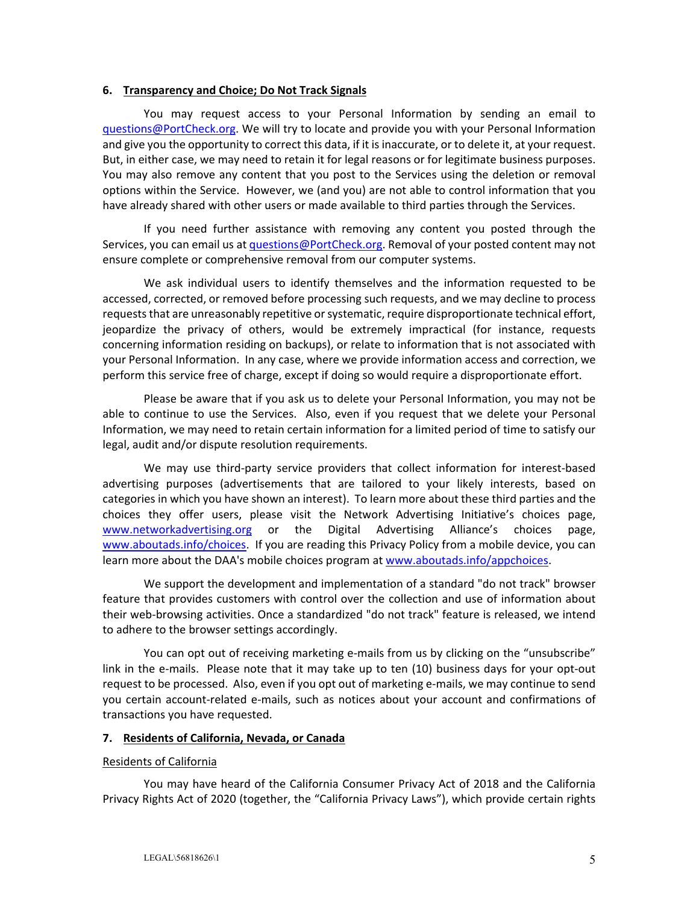#### **6. Transparency and Choice; Do Not Track Signals**

You may request access to your Personal Information by sending an email to questions@PortCheck.org. We will try to locate and provide you with your Personal Information and give you the opportunity to correct this data, if it is inaccurate, or to delete it, at your request. But, in either case, we may need to retain it for legal reasons or for legitimate business purposes. You may also remove any content that you post to the Services using the deletion or removal options within the Service. However, we (and you) are not able to control information that you have already shared with other users or made available to third parties through the Services.

If you need further assistance with removing any content you posted through the Services, you can email us at questions@PortCheck.org. Removal of your posted content may not ensure complete or comprehensive removal from our computer systems.

We ask individual users to identify themselves and the information requested to be accessed, corrected, or removed before processing such requests, and we may decline to process requests that are unreasonably repetitive or systematic, require disproportionate technical effort, jeopardize the privacy of others, would be extremely impractical (for instance, requests concerning information residing on backups), or relate to information that is not associated with your Personal Information. In any case, where we provide information access and correction, we perform this service free of charge, except if doing so would require a disproportionate effort.

Please be aware that if you ask us to delete your Personal Information, you may not be able to continue to use the Services. Also, even if you request that we delete your Personal Information, we may need to retain certain information for a limited period of time to satisfy our legal, audit and/or dispute resolution requirements.

We may use third-party service providers that collect information for interest-based advertising purposes (advertisements that are tailored to your likely interests, based on categories in which you have shown an interest). To learn more about these third parties and the choices they offer users, please visit the Network Advertising Initiative's choices page, www.networkadvertising.org or the Digital Advertising Alliance's choices page, www.aboutads.info/choices. If you are reading this Privacy Policy from a mobile device, you can learn more about the DAA's mobile choices program at www.aboutads.info/appchoices.

We support the development and implementation of a standard "do not track" browser feature that provides customers with control over the collection and use of information about their web‐browsing activities. Once a standardized "do not track" feature is released, we intend to adhere to the browser settings accordingly.

You can opt out of receiving marketing e-mails from us by clicking on the "unsubscribe" link in the e-mails. Please note that it may take up to ten (10) business days for your opt-out request to be processed. Also, even if you opt out of marketing e-mails, we may continue to send you certain account‐related e‐mails, such as notices about your account and confirmations of transactions you have requested.

### **7. Residents of California, Nevada, or Canada**

### Residents of California

You may have heard of the California Consumer Privacy Act of 2018 and the California Privacy Rights Act of 2020 (together, the "California Privacy Laws"), which provide certain rights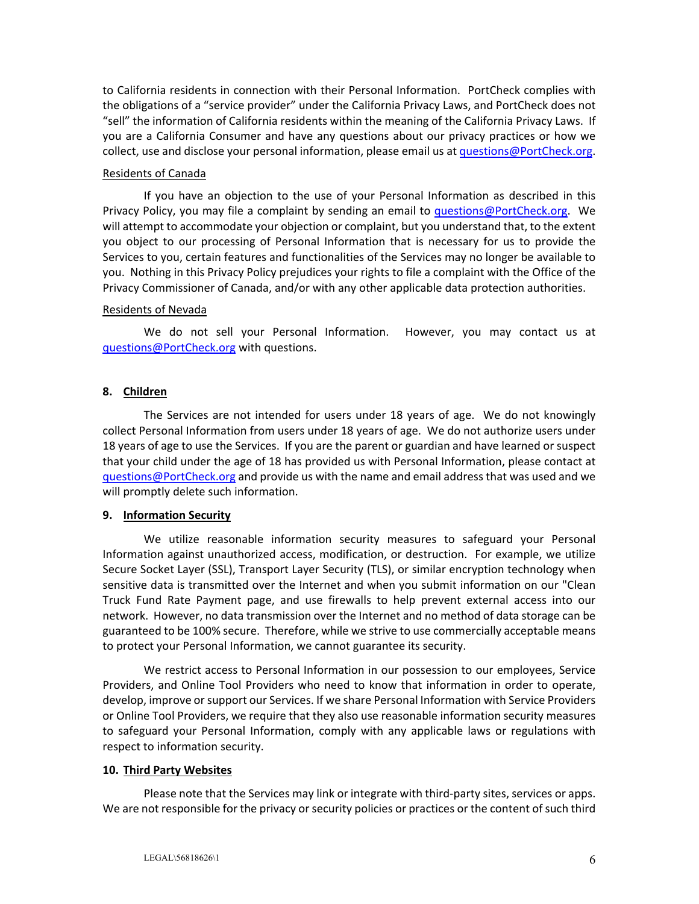to California residents in connection with their Personal Information. PortCheck complies with the obligations of a "service provider" under the California Privacy Laws, and PortCheck does not "sell" the information of California residents within the meaning of the California Privacy Laws. If you are a California Consumer and have any questions about our privacy practices or how we collect, use and disclose your personal information, please email us at questions@PortCheck.org.

### Residents of Canada

If you have an objection to the use of your Personal Information as described in this Privacy Policy, you may file a complaint by sending an email to questions@PortCheck.org. We will attempt to accommodate your objection or complaint, but you understand that, to the extent you object to our processing of Personal Information that is necessary for us to provide the Services to you, certain features and functionalities of the Services may no longer be available to you. Nothing in this Privacy Policy prejudices your rights to file a complaint with the Office of the Privacy Commissioner of Canada, and/or with any other applicable data protection authorities.

### Residents of Nevada

We do not sell your Personal Information. However, you may contact us at questions@PortCheck.org with questions.

# **8. Children**

The Services are not intended for users under 18 years of age. We do not knowingly collect Personal Information from users under 18 years of age. We do not authorize users under 18 years of age to use the Services. If you are the parent or guardian and have learned or suspect that your child under the age of 18 has provided us with Personal Information, please contact at questions@PortCheck.org and provide us with the name and email address that was used and we will promptly delete such information.

# **9. Information Security**

We utilize reasonable information security measures to safeguard your Personal Information against unauthorized access, modification, or destruction. For example, we utilize Secure Socket Layer (SSL), Transport Layer Security (TLS), or similar encryption technology when sensitive data is transmitted over the Internet and when you submit information on our "Clean Truck Fund Rate Payment page, and use firewalls to help prevent external access into our network. However, no data transmission over the Internet and no method of data storage can be guaranteed to be 100% secure. Therefore, while we strive to use commercially acceptable means to protect your Personal Information, we cannot guarantee its security.

We restrict access to Personal Information in our possession to our employees, Service Providers, and Online Tool Providers who need to know that information in order to operate, develop, improve or support our Services. If we share Personal Information with Service Providers or Online Tool Providers, we require that they also use reasonable information security measures to safeguard your Personal Information, comply with any applicable laws or regulations with respect to information security.

# **10. Third Party Websites**

Please note that the Services may link or integrate with third‐party sites, services or apps. We are not responsible for the privacy or security policies or practices or the content of such third